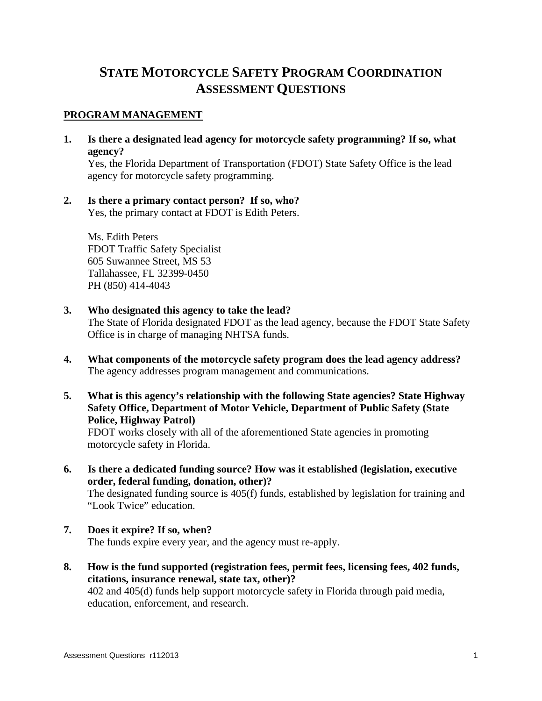# **STATE MOTORCYCLE SAFETY PROGRAM COORDINATION ASSESSMENT QUESTIONS**

## **PROGRAM MANAGEMENT**

**1. Is there a designated lead agency for motorcycle safety programming? If so, what agency?** 

 Yes, the Florida Department of Transportation (FDOT) State Safety Office is the lead agency for motorcycle safety programming.

**2. Is there a primary contact person? If so, who?**  Yes, the primary contact at FDOT is Edith Peters.

Ms. Edith Peters FDOT Traffic Safety Specialist 605 Suwannee Street, MS 53 Tallahassee, FL 32399-0450 PH (850) 414-4043

**3. Who designated this agency to take the lead?** 

 The State of Florida designated FDOT as the lead agency, because the FDOT State Safety Office is in charge of managing NHTSA funds.

- **4. What components of the motorcycle safety program does the lead agency address?**  The agency addresses program management and communications.
- **5. What is this agency's relationship with the following State agencies? State Highway Safety Office, Department of Motor Vehicle, Department of Public Safety (State Police, Highway Patrol)**

 FDOT works closely with all of the aforementioned State agencies in promoting motorcycle safety in Florida.

- **6. Is there a dedicated funding source? How was it established (legislation, executive order, federal funding, donation, other)?**  The designated funding source is 405(f) funds, established by legislation for training and "Look Twice" education.
- **7. Does it expire? If so, when?**  The funds expire every year, and the agency must re-apply.
- **8. How is the fund supported (registration fees, permit fees, licensing fees, 402 funds, citations, insurance renewal, state tax, other)?**  402 and 405(d) funds help support motorcycle safety in Florida through paid media, education, enforcement, and research.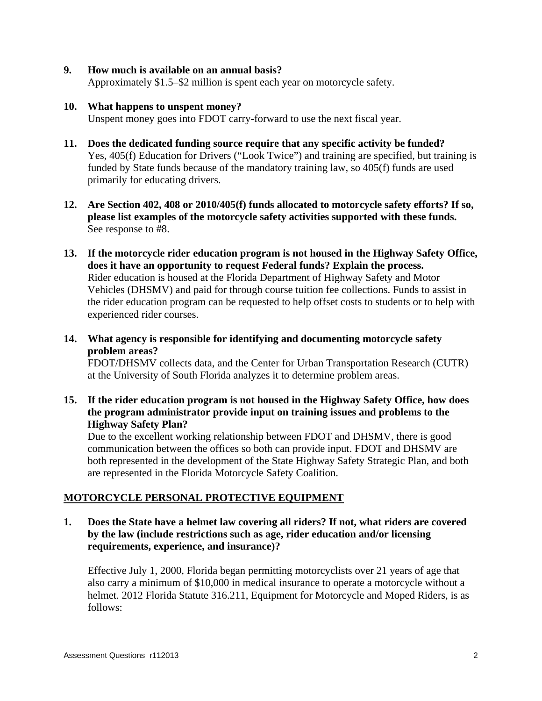## **9. How much is available on an annual basis?**

Approximately \$1.5–\$2 million is spent each year on motorcycle safety.

## **10. What happens to unspent money?**

Unspent money goes into FDOT carry-forward to use the next fiscal year.

- **11. Does the dedicated funding source require that any specific activity be funded?**  Yes, 405(f) Education for Drivers ("Look Twice") and training are specified, but training is funded by State funds because of the mandatory training law, so 405(f) funds are used primarily for educating drivers.
- **12. Are Section 402, 408 or 2010/405(f) funds allocated to motorcycle safety efforts? If so, please list examples of the motorcycle safety activities supported with these funds.**  See response to #8.
- **13. If the motorcycle rider education program is not housed in the Highway Safety Office, does it have an opportunity to request Federal funds? Explain the process.**  Rider education is housed at the Florida Department of Highway Safety and Motor Vehicles (DHSMV) and paid for through course tuition fee collections. Funds to assist in the rider education program can be requested to help offset costs to students or to help with experienced rider courses.
- **14. What agency is responsible for identifying and documenting motorcycle safety problem areas?**

 FDOT/DHSMV collects data, and the Center for Urban Transportation Research (CUTR) at the University of South Florida analyzes it to determine problem areas.

**15. If the rider education program is not housed in the Highway Safety Office, how does the program administrator provide input on training issues and problems to the Highway Safety Plan?** 

 Due to the excellent working relationship between FDOT and DHSMV, there is good communication between the offices so both can provide input. FDOT and DHSMV are both represented in the development of the State Highway Safety Strategic Plan, and both are represented in the Florida Motorcycle Safety Coalition.

## **MOTORCYCLE PERSONAL PROTECTIVE EQUIPMENT**

**1. Does the State have a helmet law covering all riders? If not, what riders are covered by the law (include restrictions such as age, rider education and/or licensing requirements, experience, and insurance)?** 

 Effective July 1, 2000, Florida began permitting motorcyclists over 21 years of age that also carry a minimum of \$10,000 in medical insurance to operate a motorcycle without a helmet. 2012 Florida Statute 316.211, Equipment for Motorcycle and Moped Riders, is as follows: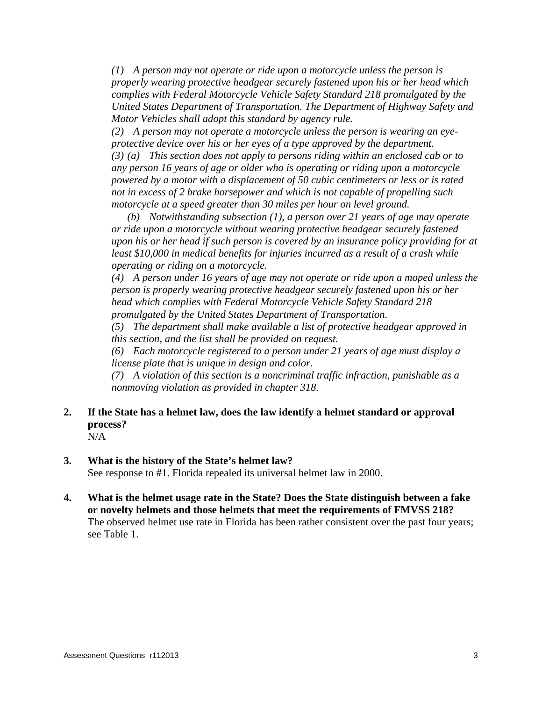*(1) A person may not operate or ride upon a motorcycle unless the person is properly wearing protective headgear securely fastened upon his or her head which complies with Federal Motorcycle Vehicle Safety Standard 218 promulgated by the United States Department of Transportation. The Department of Highway Safety and Motor Vehicles shall adopt this standard by agency rule.* 

 *(2) A person may not operate a motorcycle unless the person is wearing an eyeprotective device over his or her eyes of a type approved by the department. (3) (a) This section does not apply to persons riding within an enclosed cab or to any person 16 years of age or older who is operating or riding upon a motorcycle powered by a motor with a displacement of 50 cubic centimeters or less or is rated not in excess of 2 brake horsepower and which is not capable of propelling such motorcycle at a speed greater than 30 miles per hour on level ground.* 

 *(b) Notwithstanding subsection (1), a person over 21 years of age may operate or ride upon a motorcycle without wearing protective headgear securely fastened upon his or her head if such person is covered by an insurance policy providing for at least \$10,000 in medical benefits for injuries incurred as a result of a crash while operating or riding on a motorcycle.* 

 *(4) A person under 16 years of age may not operate or ride upon a moped unless the person is properly wearing protective headgear securely fastened upon his or her head which complies with Federal Motorcycle Vehicle Safety Standard 218 promulgated by the United States Department of Transportation.* 

 *(5) The department shall make available a list of protective headgear approved in this section, and the list shall be provided on request.* 

 *(6) Each motorcycle registered to a person under 21 years of age must display a license plate that is unique in design and color.* 

 *(7) A violation of this section is a noncriminal traffic infraction, punishable as a nonmoving violation as provided in chapter 318.* 

## **2. If the State has a helmet law, does the law identify a helmet standard or approval process?**

N/A

## **3. What is the history of the State's helmet law?**

See response to #1. Florida repealed its universal helmet law in 2000.

**4. What is the helmet usage rate in the State? Does the State distinguish between a fake or novelty helmets and those helmets that meet the requirements of FMVSS 218?** The observed helmet use rate in Florida has been rather consistent over the past four years; see Table 1.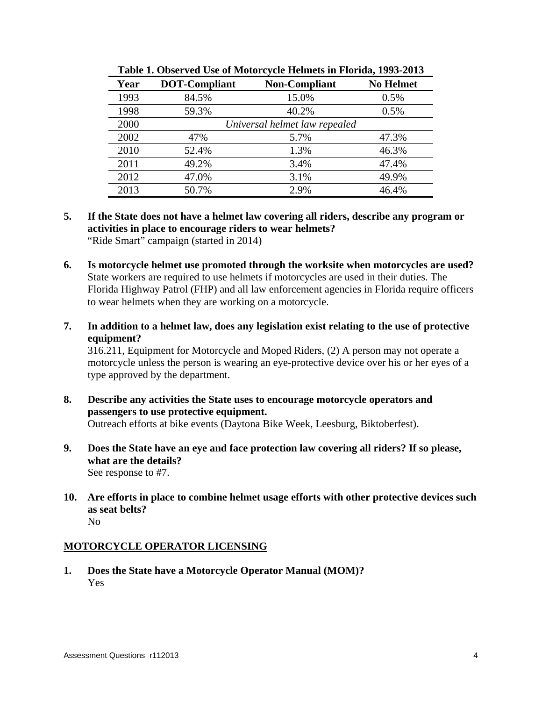| Year | DOT-Compliant                 | <b>Non-Compliant</b> | <b>No Helmet</b> |
|------|-------------------------------|----------------------|------------------|
| 1993 | 84.5%                         | 15.0%                | 0.5%             |
| 1998 | 59.3%                         | 40.2%                | 0.5%             |
| 2000 | Universal helmet law repealed |                      |                  |
| 2002 | 47%                           | 5.7%                 | 47.3%            |
| 2010 | 52.4%                         | 1.3%                 | 46.3%            |
| 2011 | 49.2%                         | 3.4%                 | 47.4%            |
| 2012 | 47.0%                         | 3.1%                 | 49.9%            |
| 2013 | 50.7%                         | 2.9%                 | 46.4%            |

**Table 1. Observed Use of Motorcycle Helmets in Florida, 1993-2013** 

- **5. If the State does not have a helmet law covering all riders, describe any program or activities in place to encourage riders to wear helmets?**  "Ride Smart" campaign (started in 2014)
- **6. Is motorcycle helmet use promoted through the worksite when motorcycles are used?**  State workers are required to use helmets if motorcycles are used in their duties. The Florida Highway Patrol (FHP) and all law enforcement agencies in Florida require officers to wear helmets when they are working on a motorcycle.
- **7. In addition to a helmet law, does any legislation exist relating to the use of protective equipment?**

 316.211, Equipment for Motorcycle and Moped Riders, (2) A person may not operate a motorcycle unless the person is wearing an eye-protective device over his or her eyes of a type approved by the department.

- **8. Describe any activities the State uses to encourage motorcycle operators and passengers to use protective equipment.**  Outreach efforts at bike events (Daytona Bike Week, Leesburg, Biktoberfest).
- **9. Does the State have an eye and face protection law covering all riders? If so please, what are the details?**  See response to #7.
- **10. Are efforts in place to combine helmet usage efforts with other protective devices such as seat belts?**  No

## **MOTORCYCLE OPERATOR LICENSING**

**1. Does the State have a Motorcycle Operator Manual (MOM)?**  Yes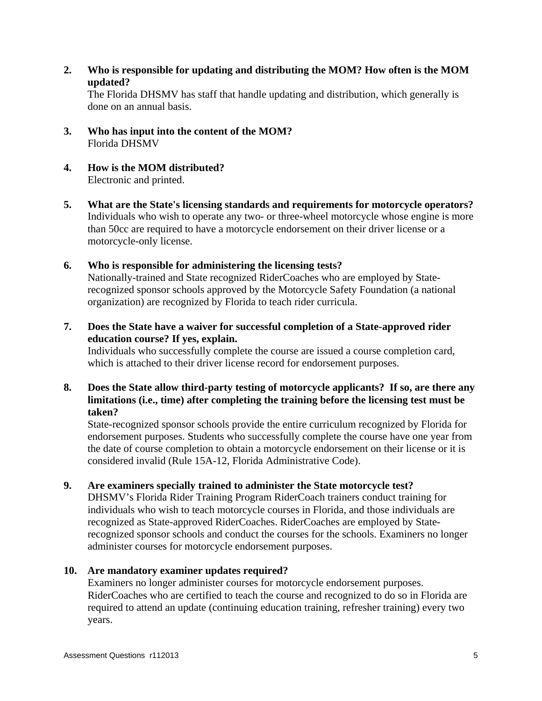**2. Who is responsible for updating and distributing the MOM? How often is the MOM updated?** 

 The Florida DHSMV has staff that handle updating and distribution, which generally is done on an annual basis.

- **3. Who has input into the content of the MOM?**  Florida DHSMV
- **4. How is the MOM distributed?**  Electronic and printed.
- **5. What are the State's licensing standards and requirements for motorcycle operators?**  Individuals who wish to operate any two- or three-wheel motorcycle whose engine is more than 50cc are required to have a motorcycle endorsement on their driver license or a motorcycle-only license.
- **6. Who is responsible for administering the licensing tests?**  Nationally-trained and State recognized RiderCoaches who are employed by Staterecognized sponsor schools approved by the Motorcycle Safety Foundation (a national organization) are recognized by Florida to teach rider curricula.
- **7. Does the State have a waiver for successful completion of a State-approved rider education course? If yes, explain.**

 Individuals who successfully complete the course are issued a course completion card, which is attached to their driver license record for endorsement purposes.

**8. Does the State allow third-party testing of motorcycle applicants? If so, are there any limitations (i.e., time) after completing the training before the licensing test must be taken?** 

 State-recognized sponsor schools provide the entire curriculum recognized by Florida for endorsement purposes. Students who successfully complete the course have one year from the date of course completion to obtain a motorcycle endorsement on their license or it is considered invalid (Rule 15A-12, Florida Administrative Code).

## **9. Are examiners specially trained to administer the State motorcycle test?**

 DHSMV's Florida Rider Training Program RiderCoach trainers conduct training for individuals who wish to teach motorcycle courses in Florida, and those individuals are recognized as State-approved RiderCoaches. RiderCoaches are employed by Staterecognized sponsor schools and conduct the courses for the schools. Examiners no longer administer courses for motorcycle endorsement purposes.

## **10. Are mandatory examiner updates required?**

 Examiners no longer administer courses for motorcycle endorsement purposes. RiderCoaches who are certified to teach the course and recognized to do so in Florida are required to attend an update (continuing education training, refresher training) every two years.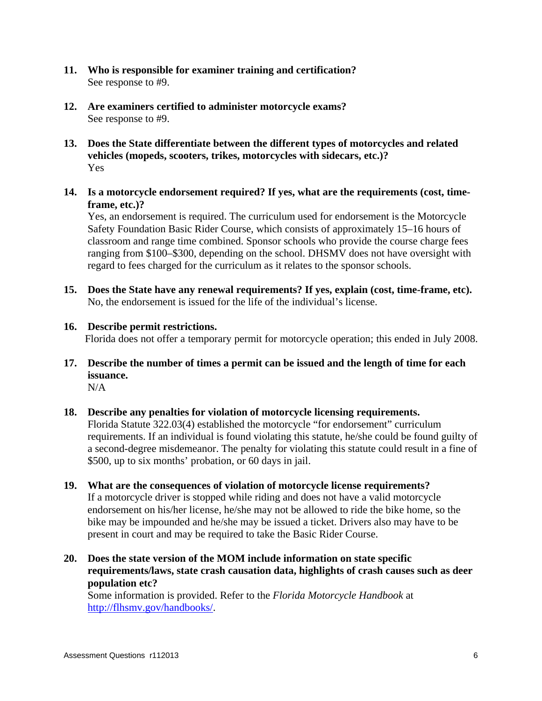- **11. Who is responsible for examiner training and certification?**  See response to #9.
- **12. Are examiners certified to administer motorcycle exams?**  See response to #9.
- **13. Does the State differentiate between the different types of motorcycles and related vehicles (mopeds, scooters, trikes, motorcycles with sidecars, etc.)?**  Yes
- **14. Is a motorcycle endorsement required? If yes, what are the requirements (cost, timeframe, etc.)?**

 Yes, an endorsement is required. The curriculum used for endorsement is the Motorcycle Safety Foundation Basic Rider Course, which consists of approximately 15–16 hours of classroom and range time combined. Sponsor schools who provide the course charge fees ranging from \$100–\$300, depending on the school. DHSMV does not have oversight with regard to fees charged for the curriculum as it relates to the sponsor schools.

- **15. Does the State have any renewal requirements? If yes, explain (cost, time-frame, etc).**  No, the endorsement is issued for the life of the individual's license.
- **16. Describe permit restrictions.**  Florida does not offer a temporary permit for motorcycle operation; this ended in July 2008.
- **17. Describe the number of times a permit can be issued and the length of time for each issuance.**

 $N/A$ 

**18. Describe any penalties for violation of motorcycle licensing requirements.** 

 Florida Statute 322.03(4) established the motorcycle "for endorsement" curriculum requirements. If an individual is found violating this statute, he/she could be found guilty of a second-degree misdemeanor. The penalty for violating this statute could result in a fine of \$500, up to six months' probation, or 60 days in jail.

- **19. What are the consequences of violation of motorcycle license requirements?**  If a motorcycle driver is stopped while riding and does not have a valid motorcycle endorsement on his/her license, he/she may not be allowed to ride the bike home, so the bike may be impounded and he/she may be issued a ticket. Drivers also may have to be present in court and may be required to take the Basic Rider Course.
- **20. Does the state version of the MOM include information on state specific requirements/laws, state crash causation data, highlights of crash causes such as deer population etc?**

 Some information is provided. Refer to the *Florida Motorcycle Handbook* at http://flhsmv.gov/handbooks/.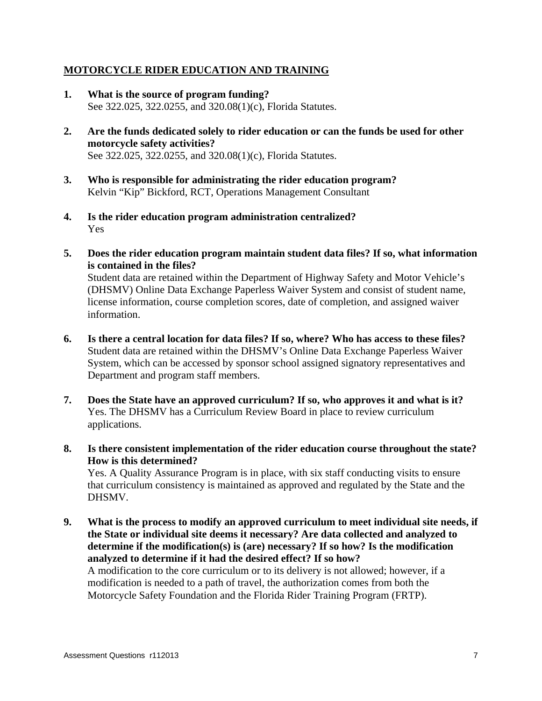## **MOTORCYCLE RIDER EDUCATION AND TRAINING**

- **1. What is the source of program funding?**  See 322.025, 322.0255, and 320.08(1)(c), Florida Statutes.
- **2. Are the funds dedicated solely to rider education or can the funds be used for other motorcycle safety activities?**  See 322.025, 322.0255, and 320.08(1)(c), Florida Statutes.
- **3. Who is responsible for administrating the rider education program?**  Kelvin "Kip" Bickford, RCT, Operations Management Consultant
- **4. Is the rider education program administration centralized?**  Yes
- **5. Does the rider education program maintain student data files? If so, what information is contained in the files?**

 Student data are retained within the Department of Highway Safety and Motor Vehicle's (DHSMV) Online Data Exchange Paperless Waiver System and consist of student name, license information, course completion scores, date of completion, and assigned waiver information.

- **6. Is there a central location for data files? If so, where? Who has access to these files?**  Student data are retained within the DHSMV's Online Data Exchange Paperless Waiver System, which can be accessed by sponsor school assigned signatory representatives and Department and program staff members.
- **7. Does the State have an approved curriculum? If so, who approves it and what is it?**  Yes. The DHSMV has a Curriculum Review Board in place to review curriculum applications.
- **8. Is there consistent implementation of the rider education course throughout the state? How is this determined?**

 Yes. A Quality Assurance Program is in place, with six staff conducting visits to ensure that curriculum consistency is maintained as approved and regulated by the State and the DHSMV.

**9. What is the process to modify an approved curriculum to meet individual site needs, if the State or individual site deems it necessary? Are data collected and analyzed to determine if the modification(s) is (are) necessary? If so how? Is the modification analyzed to determine if it had the desired effect? If so how?**  A modification to the core curriculum or to its delivery is not allowed; however, if a modification is needed to a path of travel, the authorization comes from both the Motorcycle Safety Foundation and the Florida Rider Training Program (FRTP).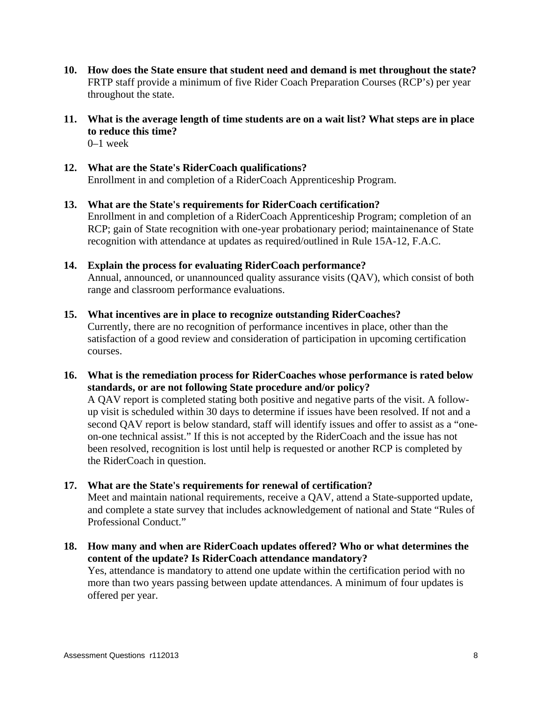- **10. How does the State ensure that student need and demand is met throughout the state?**  FRTP staff provide a minimum of five Rider Coach Preparation Courses (RCP's) per year throughout the state.
- **11. What is the average length of time students are on a wait list? What steps are in place to reduce this time?**  0–1 week
- **12. What are the State's RiderCoach qualifications?**  Enrollment in and completion of a RiderCoach Apprenticeship Program.
- **13. What are the State's requirements for RiderCoach certification?**  Enrollment in and completion of a RiderCoach Apprenticeship Program; completion of an RCP; gain of State recognition with one-year probationary period; maintainenance of State recognition with attendance at updates as required/outlined in Rule 15A-12, F.A.C.
- **14. Explain the process for evaluating RiderCoach performance?**  Annual, announced, or unannounced quality assurance visits (QAV), which consist of both range and classroom performance evaluations.
- **15. What incentives are in place to recognize outstanding RiderCoaches?**  Currently, there are no recognition of performance incentives in place, other than the satisfaction of a good review and consideration of participation in upcoming certification courses.
- **16. What is the remediation process for RiderCoaches whose performance is rated below standards, or are not following State procedure and/or policy?**

 A QAV report is completed stating both positive and negative parts of the visit. A followup visit is scheduled within 30 days to determine if issues have been resolved. If not and a second QAV report is below standard, staff will identify issues and offer to assist as a "oneon-one technical assist." If this is not accepted by the RiderCoach and the issue has not been resolved, recognition is lost until help is requested or another RCP is completed by the RiderCoach in question.

**17. What are the State's requirements for renewal of certification?** 

 Meet and maintain national requirements, receive a QAV, attend a State-supported update, and complete a state survey that includes acknowledgement of national and State "Rules of Professional Conduct."

**18. How many and when are RiderCoach updates offered? Who or what determines the content of the update? Is RiderCoach attendance mandatory?** 

 Yes, attendance is mandatory to attend one update within the certification period with no more than two years passing between update attendances. A minimum of four updates is offered per year.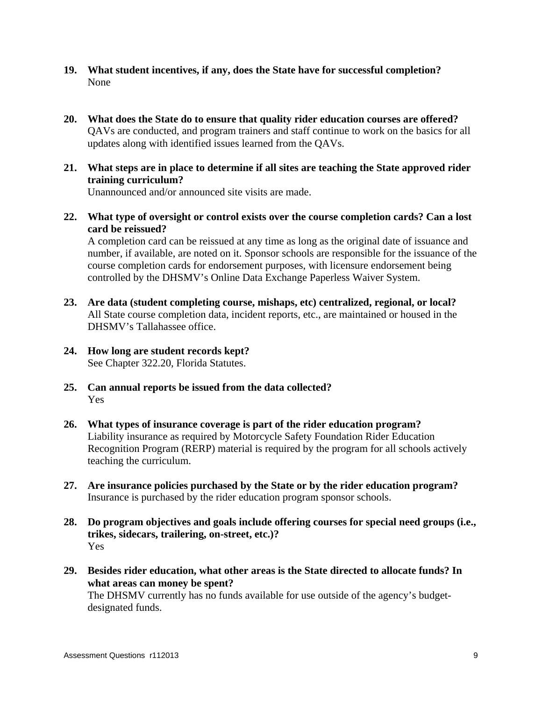- **19. What student incentives, if any, does the State have for successful completion?**  None
- **20. What does the State do to ensure that quality rider education courses are offered?**  QAVs are conducted, and program trainers and staff continue to work on the basics for all updates along with identified issues learned from the QAVs.
- **21. What steps are in place to determine if all sites are teaching the State approved rider training curriculum?**

Unannounced and/or announced site visits are made.

**22. What type of oversight or control exists over the course completion cards? Can a lost card be reissued?** 

 A completion card can be reissued at any time as long as the original date of issuance and number, if available, are noted on it. Sponsor schools are responsible for the issuance of the course completion cards for endorsement purposes, with licensure endorsement being controlled by the DHSMV's Online Data Exchange Paperless Waiver System.

- **23. Are data (student completing course, mishaps, etc) centralized, regional, or local?**  All State course completion data, incident reports, etc., are maintained or housed in the DHSMV's Tallahassee office.
- **24. How long are student records kept?**  See Chapter 322.20, Florida Statutes.
- **25. Can annual reports be issued from the data collected?**  Yes
- **26. What types of insurance coverage is part of the rider education program?**  Liability insurance as required by Motorcycle Safety Foundation Rider Education Recognition Program (RERP) material is required by the program for all schools actively teaching the curriculum.
- **27. Are insurance policies purchased by the State or by the rider education program?**  Insurance is purchased by the rider education program sponsor schools.
- **28. Do program objectives and goals include offering courses for special need groups (i.e., trikes, sidecars, trailering, on-street, etc.)?**  Yes
- **29. Besides rider education, what other areas is the State directed to allocate funds? In what areas can money be spent?**  The DHSMV currently has no funds available for use outside of the agency's budgetdesignated funds.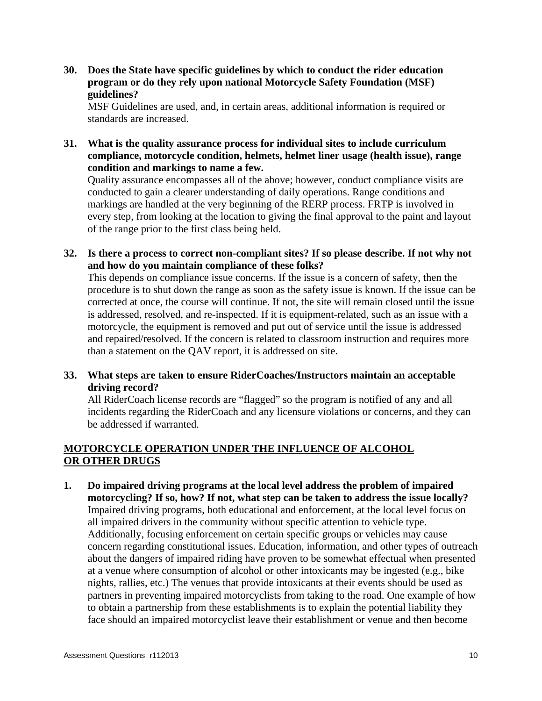**30. Does the State have specific guidelines by which to conduct the rider education program or do they rely upon national Motorcycle Safety Foundation (MSF) guidelines?** 

 MSF Guidelines are used, and, in certain areas, additional information is required or standards are increased.

**31. What is the quality assurance process for individual sites to include curriculum compliance, motorcycle condition, helmets, helmet liner usage (health issue), range condition and markings to name a few.** 

 Quality assurance encompasses all of the above; however, conduct compliance visits are conducted to gain a clearer understanding of daily operations. Range conditions and markings are handled at the very beginning of the RERP process. FRTP is involved in every step, from looking at the location to giving the final approval to the paint and layout of the range prior to the first class being held.

**32. Is there a process to correct non-compliant sites? If so please describe. If not why not and how do you maintain compliance of these folks?** 

 This depends on compliance issue concerns. If the issue is a concern of safety, then the procedure is to shut down the range as soon as the safety issue is known. If the issue can be corrected at once, the course will continue. If not, the site will remain closed until the issue is addressed, resolved, and re-inspected. If it is equipment-related, such as an issue with a motorcycle, the equipment is removed and put out of service until the issue is addressed and repaired/resolved. If the concern is related to classroom instruction and requires more than a statement on the QAV report, it is addressed on site.

## **33. What steps are taken to ensure RiderCoaches/Instructors maintain an acceptable driving record?**

 All RiderCoach license records are "flagged" so the program is notified of any and all incidents regarding the RiderCoach and any licensure violations or concerns, and they can be addressed if warranted.

## **MOTORCYCLE OPERATION UNDER THE INFLUENCE OF ALCOHOL OR OTHER DRUGS**

**1. Do impaired driving programs at the local level address the problem of impaired motorcycling? If so, how? If not, what step can be taken to address the issue locally?**  Impaired driving programs, both educational and enforcement, at the local level focus on all impaired drivers in the community without specific attention to vehicle type. Additionally, focusing enforcement on certain specific groups or vehicles may cause concern regarding constitutional issues. Education, information, and other types of outreach about the dangers of impaired riding have proven to be somewhat effectual when presented at a venue where consumption of alcohol or other intoxicants may be ingested (e.g., bike nights, rallies, etc.) The venues that provide intoxicants at their events should be used as partners in preventing impaired motorcyclists from taking to the road. One example of how to obtain a partnership from these establishments is to explain the potential liability they face should an impaired motorcyclist leave their establishment or venue and then become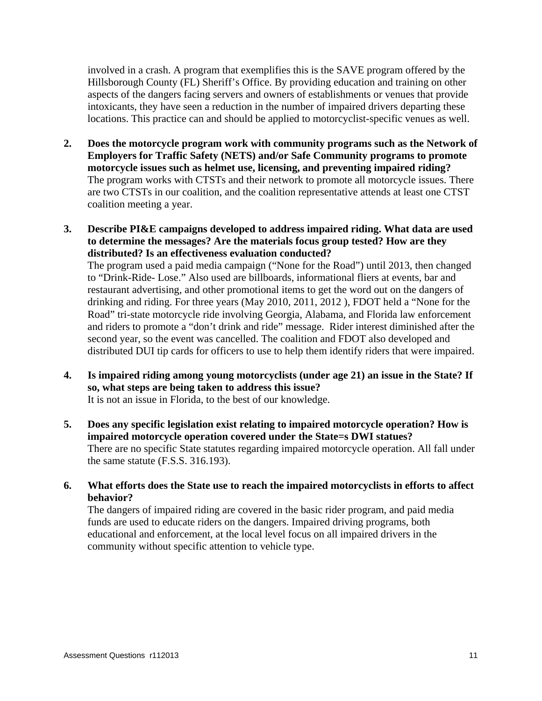involved in a crash. A program that exemplifies this is the SAVE program offered by the Hillsborough County (FL) Sheriff's Office. By providing education and training on other aspects of the dangers facing servers and owners of establishments or venues that provide intoxicants, they have seen a reduction in the number of impaired drivers departing these locations. This practice can and should be applied to motorcyclist-specific venues as well.

- **2. Does the motorcycle program work with community programs such as the Network of Employers for Traffic Safety (NETS) and/or Safe Community programs to promote motorcycle issues such as helmet use, licensing, and preventing impaired riding?**  The program works with CTSTs and their network to promote all motorcycle issues. There are two CTSTs in our coalition, and the coalition representative attends at least one CTST coalition meeting a year.
- **3. Describe PI&E campaigns developed to address impaired riding. What data are used to determine the messages? Are the materials focus group tested? How are they distributed? Is an effectiveness evaluation conducted?**

 The program used a paid media campaign ("None for the Road") until 2013, then changed to "Drink-Ride- Lose." Also used are billboards, informational fliers at events, bar and restaurant advertising, and other promotional items to get the word out on the dangers of drinking and riding. For three years (May 2010, 2011, 2012 ), FDOT held a "None for the Road" tri-state motorcycle ride involving Georgia, Alabama, and Florida law enforcement and riders to promote a "don't drink and ride" message. Rider interest diminished after the second year, so the event was cancelled. The coalition and FDOT also developed and distributed DUI tip cards for officers to use to help them identify riders that were impaired.

- **4. Is impaired riding among young motorcyclists (under age 21) an issue in the State? If so, what steps are being taken to address this issue?**  It is not an issue in Florida, to the best of our knowledge.
- **5. Does any specific legislation exist relating to impaired motorcycle operation? How is impaired motorcycle operation covered under the State=s DWI statues?**  There are no specific State statutes regarding impaired motorcycle operation. All fall under the same statute (F.S.S. 316.193).
- **6. What efforts does the State use to reach the impaired motorcyclists in efforts to affect behavior?**

 The dangers of impaired riding are covered in the basic rider program, and paid media funds are used to educate riders on the dangers. Impaired driving programs, both educational and enforcement, at the local level focus on all impaired drivers in the community without specific attention to vehicle type.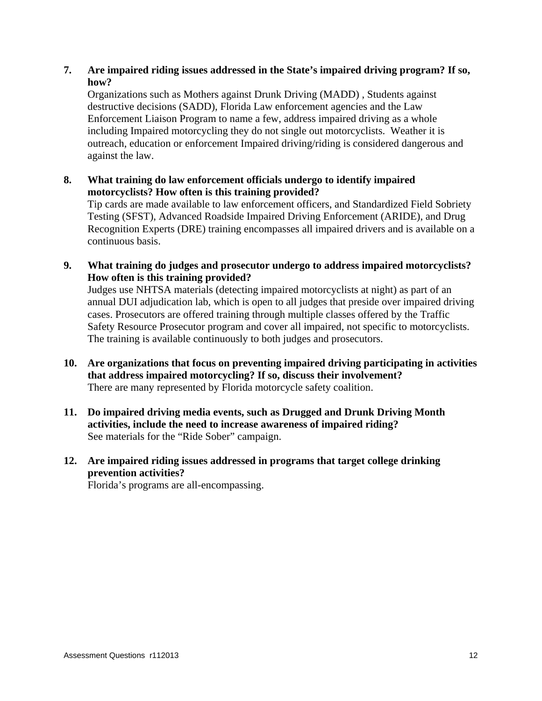## **7. Are impaired riding issues addressed in the State's impaired driving program? If so, how?**

 Organizations such as Mothers against Drunk Driving (MADD) , Students against destructive decisions (SADD), Florida Law enforcement agencies and the Law Enforcement Liaison Program to name a few, address impaired driving as a whole including Impaired motorcycling they do not single out motorcyclists. Weather it is outreach, education or enforcement Impaired driving/riding is considered dangerous and against the law.

**8. What training do law enforcement officials undergo to identify impaired motorcyclists? How often is this training provided?** 

 Tip cards are made available to law enforcement officers, and Standardized Field Sobriety Testing (SFST), Advanced Roadside Impaired Driving Enforcement (ARIDE), and Drug Recognition Experts (DRE) training encompasses all impaired drivers and is available on a continuous basis.

**9. What training do judges and prosecutor undergo to address impaired motorcyclists? How often is this training provided?** 

 Judges use NHTSA materials (detecting impaired motorcyclists at night) as part of an annual DUI adjudication lab, which is open to all judges that preside over impaired driving cases. Prosecutors are offered training through multiple classes offered by the Traffic Safety Resource Prosecutor program and cover all impaired, not specific to motorcyclists. The training is available continuously to both judges and prosecutors.

- **10. Are organizations that focus on preventing impaired driving participating in activities that address impaired motorcycling? If so, discuss their involvement?**  There are many represented by Florida motorcycle safety coalition.
- **11. Do impaired driving media events, such as Drugged and Drunk Driving Month activities, include the need to increase awareness of impaired riding?**  See materials for the "Ride Sober" campaign.
- **12. Are impaired riding issues addressed in programs that target college drinking prevention activities?**

Florida's programs are all-encompassing.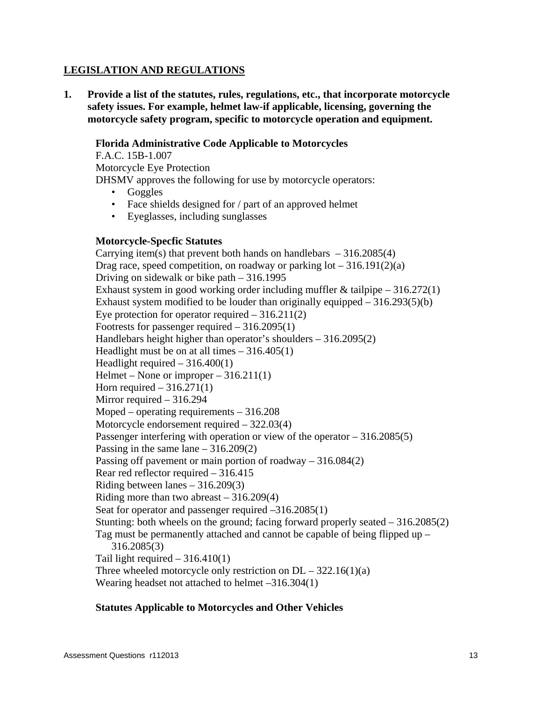## **LEGISLATION AND REGULATIONS**

**1. Provide a list of the statutes, rules, regulations, etc., that incorporate motorcycle safety issues. For example, helmet law-if applicable, licensing, governing the motorcycle safety program, specific to motorcycle operation and equipment.** 

## **Florida Administrative Code Applicable to Motorcycles**

F.A.C. 15B-1.007 Motorcycle Eye Protection DHSMV approves the following for use by motorcycle operators:

- Goggles
- Face shields designed for / part of an approved helmet
- Eyeglasses, including sunglasses

### **Motorcycle-Specfic Statutes**

Carrying item(s) that prevent both hands on handlebars  $-316.2085(4)$ Drag race, speed competition, on roadway or parking  $\text{lot} - 316.191(2)(\text{a})$ Driving on sidewalk or bike path – 316.1995 Exhaust system in good working order including muffler  $&$  tailpipe  $-316.272(1)$ Exhaust system modified to be louder than originally equipped  $-316.293(5)(b)$ Eye protection for operator required  $-316.211(2)$ Footrests for passenger required – 316.2095(1) Handlebars height higher than operator's shoulders – 316.2095(2) Headlight must be on at all times  $-316.405(1)$ Headlight required  $-316.400(1)$ Helmet – None or improper – 316.211(1) Horn required  $-316.271(1)$ Mirror required – 316.294 Moped – operating requirements – 316.208 Motorcycle endorsement required – 322.03(4) Passenger interfering with operation or view of the operator – 316.2085(5) Passing in the same lane  $-316.209(2)$ Passing off pavement or main portion of roadway – 316.084(2) Rear red reflector required – 316.415 Riding between lanes – 316.209(3) Riding more than two abreast – 316.209(4) Seat for operator and passenger required –316.2085(1) Stunting: both wheels on the ground; facing forward properly seated  $-316.2085(2)$ Tag must be permanently attached and cannot be capable of being flipped up – 316.2085(3) Tail light required  $-316.410(1)$ Three wheeled motorcycle only restriction on  $DL - 322.16(1)(a)$ Wearing headset not attached to helmet –316.304(1)

## **Statutes Applicable to Motorcycles and Other Vehicles**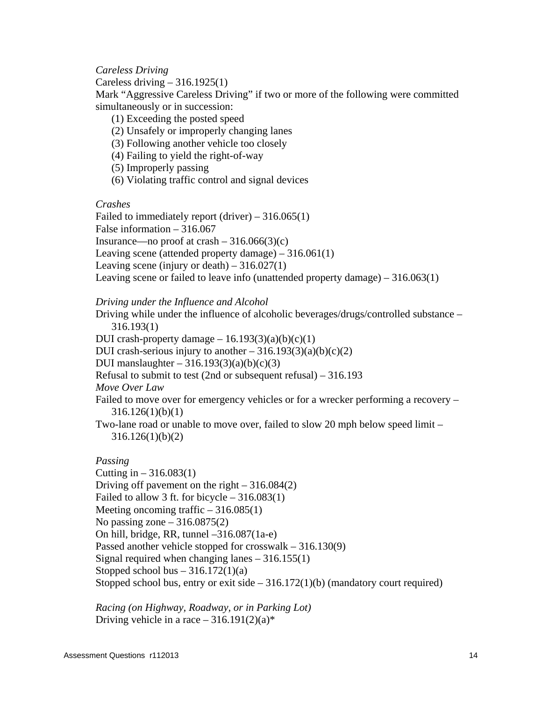*Careless Driving* 

Careless driving  $-316.1925(1)$ 

Mark "Aggressive Careless Driving" if two or more of the following were committed simultaneously or in succession:

- (1) Exceeding the posted speed
- (2) Unsafely or improperly changing lanes
- (3) Following another vehicle too closely
- (4) Failing to yield the right-of-way
- (5) Improperly passing
- (6) Violating traffic control and signal devices

*Crashes* 

Failed to immediately report  $(driver) - 316.065(1)$ False information – 316.067 Insurance—no proof at crash  $-316.066(3)(c)$ Leaving scene (attended property damage) – 316.061(1) Leaving scene (injury or death)  $-316.027(1)$ Leaving scene or failed to leave info (unattended property damage) – 316.063(1)

*Driving under the Influence and Alcohol* 

Driving while under the influence of alcoholic beverages/drugs/controlled substance – 316.193(1)

DUI crash-property damage  $-16.193(3)(a)(b)(c)(1)$ 

DUI crash-serious injury to another  $-316.193(3)(a)(b)(c)(2)$ 

DUI manslaughter  $-316.193(3)(a)(b)(c)(3)$ 

Refusal to submit to test (2nd or subsequent refusal) – 316.193

*Move Over Law* 

Failed to move over for emergency vehicles or for a wrecker performing a recovery – 316.126(1)(b)(1)

Two-lane road or unable to move over, failed to slow 20 mph below speed limit – 316.126(1)(b)(2)

## *Passing*

Cutting in  $-316.083(1)$ Driving off pavement on the right – 316.084(2) Failed to allow 3 ft. for bicycle  $-316.083(1)$ Meeting oncoming traffic  $-316.085(1)$ No passing zone  $-316.0875(2)$ On hill, bridge, RR, tunnel –316.087(1a-e) Passed another vehicle stopped for crosswalk – 316.130(9) Signal required when changing lanes – 316.155(1) Stopped school bus  $-316.172(1)(a)$ Stopped school bus, entry or exit side  $-316.172(1)(b)$  (mandatory court required)

*Racing (on Highway, Roadway, or in Parking Lot)*  Driving vehicle in a race  $-316.191(2)(a)$ \*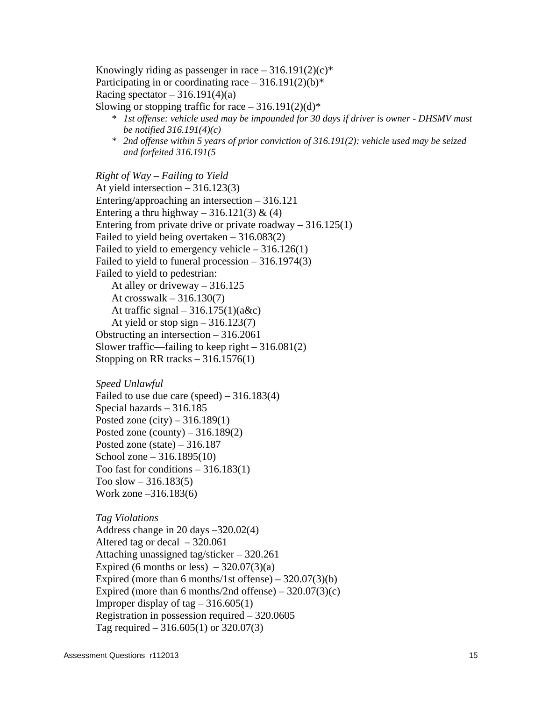Knowingly riding as passenger in race  $-316.191(2)(c)$ \* Participating in or coordinating race  $-316.191(2)(b)*$ Racing spectator  $-316.191(4)(a)$ Slowing or stopping traffic for race  $-316.191(2)(d)*$ 

- *\* 1st offense: vehicle used may be impounded for 30 days if driver is owner DHSMV must be notified 316.191(4)(c)*
- *\* 2nd offense within 5 years of prior conviction of 316.191(2): vehicle used may be seized and forfeited 316.191(5*

*Right of Way – Failing to Yield*  At yield intersection – 316.123(3) Entering/approaching an intersection – 316.121 Entering a thru highway – 316.121(3) & (4) Entering from private drive or private roadway  $-316.125(1)$ Failed to yield being overtaken – 316.083(2) Failed to yield to emergency vehicle  $-316.126(1)$ Failed to yield to funeral procession – 316.1974(3) Failed to yield to pedestrian: At alley or driveway – 316.125 At crosswalk  $-316.130(7)$ At traffic signal  $-316.175(1)(a\&c)$ At yield or stop sign  $-316.123(7)$ Obstructing an intersection – 316.2061 Slower traffic—failing to keep right  $-316.081(2)$ Stopping on RR tracks  $-316.1576(1)$ 

*Speed Unlawful*  Failed to use due care (speed)  $-316.183(4)$ Special hazards – 316.185 Posted zone (city) – 316.189(1) Posted zone (county)  $-316.189(2)$ Posted zone (state)  $-316.187$ School zone – 316.1895(10) Too fast for conditions  $-316.183(1)$ Too slow  $-316.183(5)$ Work zone –316.183(6)

*Tag Violations*  Address change in 20 days –320.02(4) Altered tag or decal  $-320.061$ Attaching unassigned tag/sticker – 320.261 Expired (6 months or less)  $-320.07(3)(a)$ Expired (more than 6 months/1st offense)  $-320.07(3)(b)$ Expired (more than 6 months/2nd offense) –  $320.07(3)(c)$ Improper display of tag  $-316.605(1)$ Registration in possession required – 320.0605 Tag required – 316.605(1) or 320.07(3)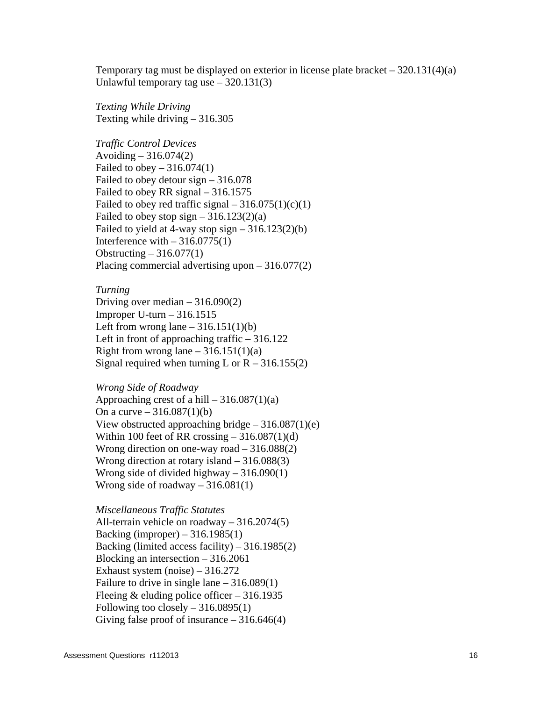Temporary tag must be displayed on exterior in license plate bracket  $-320.131(4)(a)$ Unlawful temporary tag use – 320.131(3)

*Texting While Driving*  Texting while driving – 316.305

*Traffic Control Devices*  Avoiding  $-316.074(2)$ Failed to obey  $-316.074(1)$ Failed to obey detour sign – 316.078 Failed to obey RR signal – 316.1575 Failed to obey red traffic signal  $-316.075(1)(c)(1)$ Failed to obey stop sign  $-316.123(2)(a)$ Failed to yield at 4-way stop sign  $-316.123(2)(b)$ Interference with  $-316.0775(1)$ Obstructing  $-316.077(1)$ Placing commercial advertising upon – 316.077(2)

#### *Turning*

Driving over median  $-316.090(2)$ Improper U-turn  $-316.1515$ Left from wrong lane  $-316.151(1)(b)$ Left in front of approaching traffic – 316.122 Right from wrong lane  $-316.151(1)(a)$ Signal required when turning L or  $R - 316.155(2)$ 

#### *Wrong Side of Roadway*

Approaching crest of a hill  $-316.087(1)(a)$ On a curve –  $316.087(1)(b)$ View obstructed approaching bridge  $-316.087(1)(e)$ Within 100 feet of RR crossing  $-316.087(1)(d)$ Wrong direction on one-way road – 316.088(2) Wrong direction at rotary island – 316.088(3) Wrong side of divided highway  $-316.090(1)$ Wrong side of roadway  $-316.081(1)$ 

#### *Miscellaneous Traffic Statutes*

All-terrain vehicle on roadway – 316.2074(5) Backing (improper) – 316.1985(1) Backing (limited access facility) – 316.1985(2) Blocking an intersection – 316.2061 Exhaust system (noise) – 316.272 Failure to drive in single lane – 316.089(1) Fleeing  $&$  eluding police officer – 316.1935 Following too closely  $-316.0895(1)$ Giving false proof of insurance  $-316.646(4)$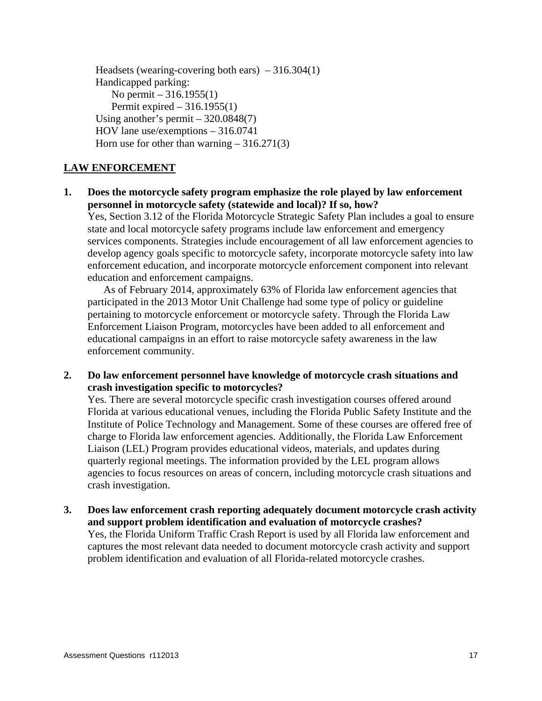Headsets (wearing-covering both ears)  $-316.304(1)$ Handicapped parking: No permit – 316.1955(1) Permit expired  $-316.1955(1)$ Using another's permit  $-320.0848(7)$ HOV lane use/exemptions – 316.0741 Horn use for other than warning  $-316.271(3)$ 

## **LAW ENFORCEMENT**

**1. Does the motorcycle safety program emphasize the role played by law enforcement personnel in motorcycle safety (statewide and local)? If so, how?** 

 Yes, Section 3.12 of the Florida Motorcycle Strategic Safety Plan includes a goal to ensure state and local motorcycle safety programs include law enforcement and emergency services components. Strategies include encouragement of all law enforcement agencies to develop agency goals specific to motorcycle safety, incorporate motorcycle safety into law enforcement education, and incorporate motorcycle enforcement component into relevant education and enforcement campaigns.

 As of February 2014, approximately 63% of Florida law enforcement agencies that participated in the 2013 Motor Unit Challenge had some type of policy or guideline pertaining to motorcycle enforcement or motorcycle safety. Through the Florida Law Enforcement Liaison Program, motorcycles have been added to all enforcement and educational campaigns in an effort to raise motorcycle safety awareness in the law enforcement community.

**2. Do law enforcement personnel have knowledge of motorcycle crash situations and crash investigation specific to motorcycles?** 

 Yes. There are several motorcycle specific crash investigation courses offered around Florida at various educational venues, including the Florida Public Safety Institute and the Institute of Police Technology and Management. Some of these courses are offered free of charge to Florida law enforcement agencies. Additionally, the Florida Law Enforcement Liaison (LEL) Program provides educational videos, materials, and updates during quarterly regional meetings. The information provided by the LEL program allows agencies to focus resources on areas of concern, including motorcycle crash situations and crash investigation.

**3. Does law enforcement crash reporting adequately document motorcycle crash activity and support problem identification and evaluation of motorcycle crashes?**  Yes, the Florida Uniform Traffic Crash Report is used by all Florida law enforcement and captures the most relevant data needed to document motorcycle crash activity and support problem identification and evaluation of all Florida-related motorcycle crashes.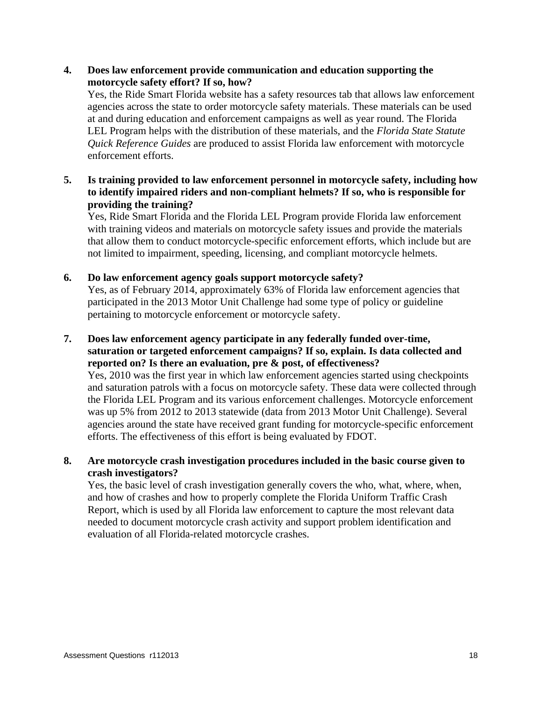## **4. Does law enforcement provide communication and education supporting the motorcycle safety effort? If so, how?**

 Yes, the Ride Smart Florida website has a safety resources tab that allows law enforcement agencies across the state to order motorcycle safety materials. These materials can be used at and during education and enforcement campaigns as well as year round. The Florida LEL Program helps with the distribution of these materials, and the *Florida State Statute Quick Reference Guides* are produced to assist Florida law enforcement with motorcycle enforcement efforts.

## **5. Is training provided to law enforcement personnel in motorcycle safety, including how to identify impaired riders and non-compliant helmets? If so, who is responsible for providing the training?**

 Yes, Ride Smart Florida and the Florida LEL Program provide Florida law enforcement with training videos and materials on motorcycle safety issues and provide the materials that allow them to conduct motorcycle-specific enforcement efforts, which include but are not limited to impairment, speeding, licensing, and compliant motorcycle helmets.

## **6. Do law enforcement agency goals support motorcycle safety?**

 Yes, as of February 2014, approximately 63% of Florida law enforcement agencies that participated in the 2013 Motor Unit Challenge had some type of policy or guideline pertaining to motorcycle enforcement or motorcycle safety.

**7. Does law enforcement agency participate in any federally funded over-time, saturation or targeted enforcement campaigns? If so, explain. Is data collected and reported on? Is there an evaluation, pre & post, of effectiveness?**  Yes, 2010 was the first year in which law enforcement agencies started using checkpoints and saturation patrols with a focus on motorcycle safety. These data were collected through the Florida LEL Program and its various enforcement challenges. Motorcycle enforcement was up 5% from 2012 to 2013 statewide (data from 2013 Motor Unit Challenge). Several agencies around the state have received grant funding for motorcycle-specific enforcement

# efforts. The effectiveness of this effort is being evaluated by FDOT.

## **8. Are motorcycle crash investigation procedures included in the basic course given to crash investigators?**

 Yes, the basic level of crash investigation generally covers the who, what, where, when, and how of crashes and how to properly complete the Florida Uniform Traffic Crash Report, which is used by all Florida law enforcement to capture the most relevant data needed to document motorcycle crash activity and support problem identification and evaluation of all Florida-related motorcycle crashes.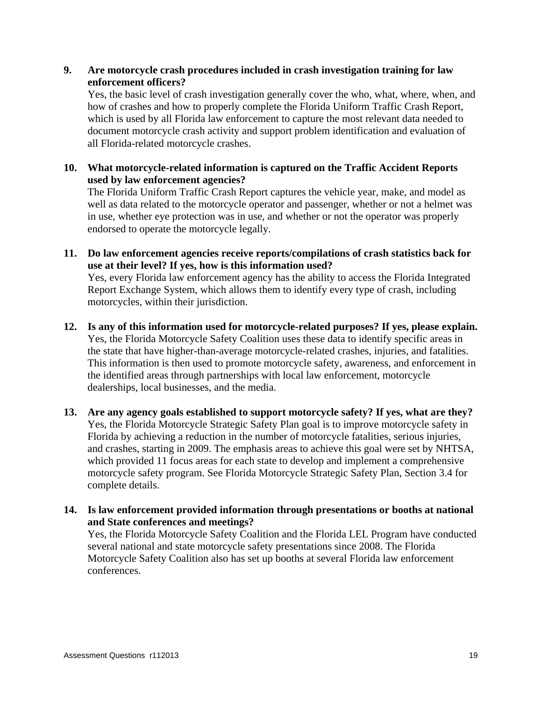**9. Are motorcycle crash procedures included in crash investigation training for law enforcement officers?** 

 Yes, the basic level of crash investigation generally cover the who, what, where, when, and how of crashes and how to properly complete the Florida Uniform Traffic Crash Report, which is used by all Florida law enforcement to capture the most relevant data needed to document motorcycle crash activity and support problem identification and evaluation of all Florida-related motorcycle crashes.

**10. What motorcycle-related information is captured on the Traffic Accident Reports used by law enforcement agencies?** 

 The Florida Uniform Traffic Crash Report captures the vehicle year, make, and model as well as data related to the motorcycle operator and passenger, whether or not a helmet was in use, whether eye protection was in use, and whether or not the operator was properly endorsed to operate the motorcycle legally.

**11. Do law enforcement agencies receive reports/compilations of crash statistics back for use at their level? If yes, how is this information used?** 

 Yes, every Florida law enforcement agency has the ability to access the Florida Integrated Report Exchange System, which allows them to identify every type of crash, including motorcycles, within their jurisdiction.

- **12. Is any of this information used for motorcycle-related purposes? If yes, please explain.**  Yes, the Florida Motorcycle Safety Coalition uses these data to identify specific areas in the state that have higher-than-average motorcycle-related crashes, injuries, and fatalities. This information is then used to promote motorcycle safety, awareness, and enforcement in the identified areas through partnerships with local law enforcement, motorcycle dealerships, local businesses, and the media.
- **13. Are any agency goals established to support motorcycle safety? If yes, what are they?**  Yes, the Florida Motorcycle Strategic Safety Plan goal is to improve motorcycle safety in Florida by achieving a reduction in the number of motorcycle fatalities, serious injuries, and crashes, starting in 2009. The emphasis areas to achieve this goal were set by NHTSA, which provided 11 focus areas for each state to develop and implement a comprehensive motorcycle safety program. See Florida Motorcycle Strategic Safety Plan, Section 3.4 for complete details.
- **14. Is law enforcement provided information through presentations or booths at national and State conferences and meetings?**  Yes, the Florida Motorcycle Safety Coalition and the Florida LEL Program have conducted several national and state motorcycle safety presentations since 2008. The Florida Motorcycle Safety Coalition also has set up booths at several Florida law enforcement conferences.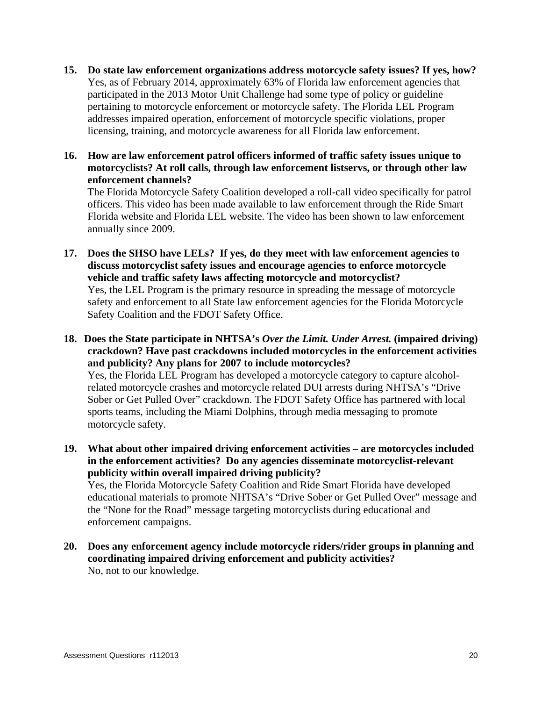- **15. Do state law enforcement organizations address motorcycle safety issues? If yes, how?**  Yes, as of February 2014, approximately 63% of Florida law enforcement agencies that participated in the 2013 Motor Unit Challenge had some type of policy or guideline pertaining to motorcycle enforcement or motorcycle safety. The Florida LEL Program addresses impaired operation, enforcement of motorcycle specific violations, proper licensing, training, and motorcycle awareness for all Florida law enforcement.
- **16. How are law enforcement patrol officers informed of traffic safety issues unique to motorcyclists? At roll calls, through law enforcement listservs, or through other law enforcement channels?**

 The Florida Motorcycle Safety Coalition developed a roll-call video specifically for patrol officers. This video has been made available to law enforcement through the Ride Smart Florida website and Florida LEL website. The video has been shown to law enforcement annually since 2009.

- **17. Does the SHSO have LELs? If yes, do they meet with law enforcement agencies to discuss motorcyclist safety issues and encourage agencies to enforce motorcycle vehicle and traffic safety laws affecting motorcycle and motorcyclist?**  Yes, the LEL Program is the primary resource in spreading the message of motorcycle safety and enforcement to all State law enforcement agencies for the Florida Motorcycle Safety Coalition and the FDOT Safety Office.
- **18. Does the State participate in NHTSA's** *Over the Limit. Under Arrest.* **(impaired driving) crackdown? Have past crackdowns included motorcycles in the enforcement activities and publicity? Any plans for 2007 to include motorcycles?**  Yes, the Florida LEL Program has developed a motorcycle category to capture alcoholrelated motorcycle crashes and motorcycle related DUI arrests during NHTSA's "Drive Sober or Get Pulled Over" crackdown. The FDOT Safety Office has partnered with local sports teams, including the Miami Dolphins, through media messaging to promote motorcycle safety.
- **19. What about other impaired driving enforcement activities are motorcycles included in the enforcement activities? Do any agencies disseminate motorcyclist-relevant publicity within overall impaired driving publicity?**  Yes, the Florida Motorcycle Safety Coalition and Ride Smart Florida have developed educational materials to promote NHTSA's "Drive Sober or Get Pulled Over" message and the "None for the Road" message targeting motorcyclists during educational and
- **20. Does any enforcement agency include motorcycle riders/rider groups in planning and coordinating impaired driving enforcement and publicity activities?**

No, not to our knowledge.

enforcement campaigns.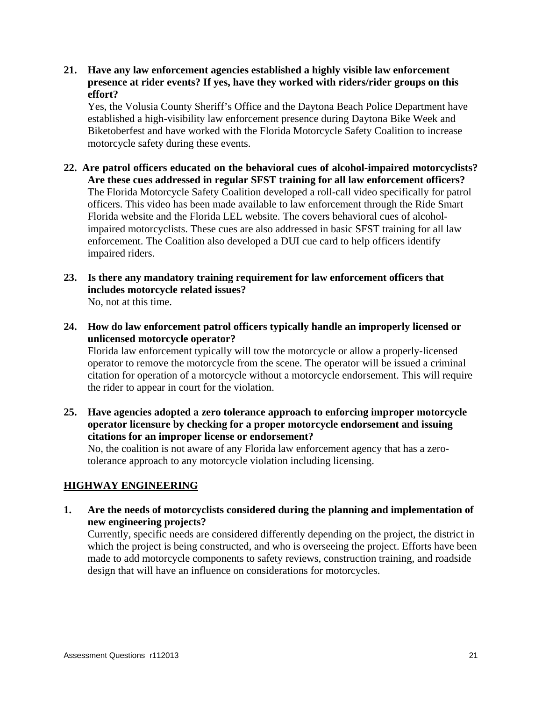**21. Have any law enforcement agencies established a highly visible law enforcement presence at rider events? If yes, have they worked with riders/rider groups on this effort?** 

 Yes, the Volusia County Sheriff's Office and the Daytona Beach Police Department have established a high-visibility law enforcement presence during Daytona Bike Week and Biketoberfest and have worked with the Florida Motorcycle Safety Coalition to increase motorcycle safety during these events.

- **22. Are patrol officers educated on the behavioral cues of alcohol-impaired motorcyclists? Are these cues addressed in regular SFST training for all law enforcement officers?**  The Florida Motorcycle Safety Coalition developed a roll-call video specifically for patrol officers. This video has been made available to law enforcement through the Ride Smart Florida website and the Florida LEL website. The covers behavioral cues of alcoholimpaired motorcyclists. These cues are also addressed in basic SFST training for all law enforcement. The Coalition also developed a DUI cue card to help officers identify impaired riders.
- **23. Is there any mandatory training requirement for law enforcement officers that includes motorcycle related issues?**  No, not at this time.
- **24. How do law enforcement patrol officers typically handle an improperly licensed or unlicensed motorcycle operator?**

 Florida law enforcement typically will tow the motorcycle or allow a properly-licensed operator to remove the motorcycle from the scene. The operator will be issued a criminal citation for operation of a motorcycle without a motorcycle endorsement. This will require the rider to appear in court for the violation.

**25. Have agencies adopted a zero tolerance approach to enforcing improper motorcycle operator licensure by checking for a proper motorcycle endorsement and issuing citations for an improper license or endorsement?** 

 No, the coalition is not aware of any Florida law enforcement agency that has a zerotolerance approach to any motorcycle violation including licensing.

## **HIGHWAY ENGINEERING**

**1. Are the needs of motorcyclists considered during the planning and implementation of new engineering projects?**  Currently, specific needs are considered differently depending on the project, the district in which the project is being constructed, and who is overseeing the project. Efforts have been made to add motorcycle components to safety reviews, construction training, and roadside design that will have an influence on considerations for motorcycles.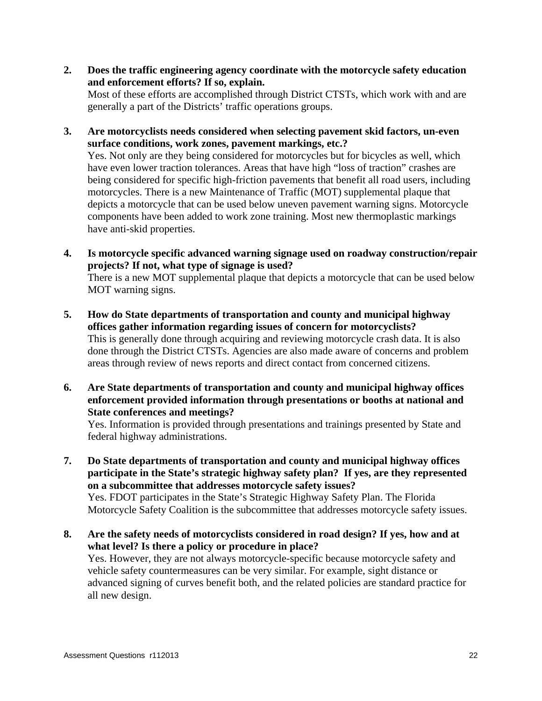**2. Does the traffic engineering agency coordinate with the motorcycle safety education and enforcement efforts? If so, explain.** 

 Most of these efforts are accomplished through District CTSTs, which work with and are generally a part of the Districts' traffic operations groups.

**3. Are motorcyclists needs considered when selecting pavement skid factors, un-even surface conditions, work zones, pavement markings, etc.?** 

 Yes. Not only are they being considered for motorcycles but for bicycles as well, which have even lower traction tolerances. Areas that have high "loss of traction" crashes are being considered for specific high-friction pavements that benefit all road users, including motorcycles. There is a new Maintenance of Traffic (MOT) supplemental plaque that depicts a motorcycle that can be used below uneven pavement warning signs. Motorcycle components have been added to work zone training. Most new thermoplastic markings have anti-skid properties.

**4. Is motorcycle specific advanced warning signage used on roadway construction/repair projects? If not, what type of signage is used?** 

 There is a new MOT supplemental plaque that depicts a motorcycle that can be used below MOT warning signs.

- **5. How do State departments of transportation and county and municipal highway offices gather information regarding issues of concern for motorcyclists?**  This is generally done through acquiring and reviewing motorcycle crash data. It is also done through the District CTSTs. Agencies are also made aware of concerns and problem areas through review of news reports and direct contact from concerned citizens.
- **6. Are State departments of transportation and county and municipal highway offices enforcement provided information through presentations or booths at national and State conferences and meetings?**

 Yes. Information is provided through presentations and trainings presented by State and federal highway administrations.

**7. Do State departments of transportation and county and municipal highway offices participate in the State's strategic highway safety plan? If yes, are they represented on a subcommittee that addresses motorcycle safety issues?** 

 Yes. FDOT participates in the State's Strategic Highway Safety Plan. The Florida Motorcycle Safety Coalition is the subcommittee that addresses motorcycle safety issues.

**8. Are the safety needs of motorcyclists considered in road design? If yes, how and at what level? Is there a policy or procedure in place?**  Yes. However, they are not always motorcycle-specific because motorcycle safety and vehicle safety countermeasures can be very similar. For example, sight distance or advanced signing of curves benefit both, and the related policies are standard practice for all new design.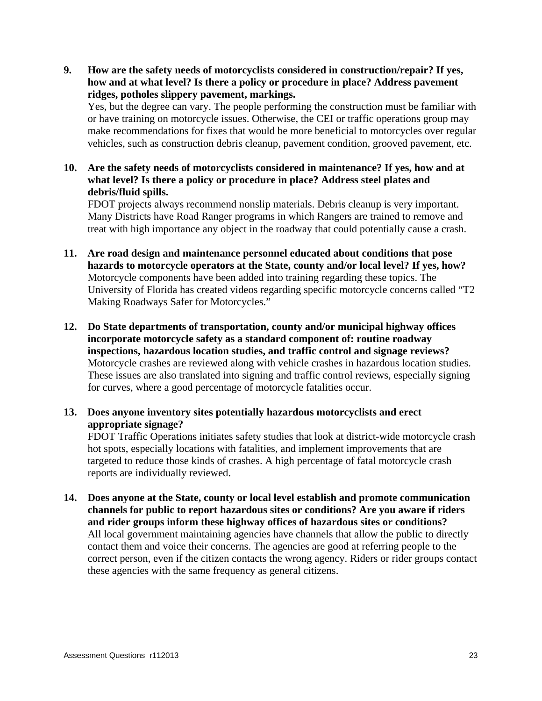**9. How are the safety needs of motorcyclists considered in construction/repair? If yes, how and at what level? Is there a policy or procedure in place? Address pavement ridges, potholes slippery pavement, markings.** 

 Yes, but the degree can vary. The people performing the construction must be familiar with or have training on motorcycle issues. Otherwise, the CEI or traffic operations group may make recommendations for fixes that would be more beneficial to motorcycles over regular vehicles, such as construction debris cleanup, pavement condition, grooved pavement, etc.

**10. Are the safety needs of motorcyclists considered in maintenance? If yes, how and at what level? Is there a policy or procedure in place? Address steel plates and debris/fluid spills.** 

 FDOT projects always recommend nonslip materials. Debris cleanup is very important. Many Districts have Road Ranger programs in which Rangers are trained to remove and treat with high importance any object in the roadway that could potentially cause a crash.

- **11. Are road design and maintenance personnel educated about conditions that pose hazards to motorcycle operators at the State, county and/or local level? If yes, how?**  Motorcycle components have been added into training regarding these topics. The University of Florida has created videos regarding specific motorcycle concerns called "T2 Making Roadways Safer for Motorcycles."
- **12. Do State departments of transportation, county and/or municipal highway offices incorporate motorcycle safety as a standard component of: routine roadway inspections, hazardous location studies, and traffic control and signage reviews?**  Motorcycle crashes are reviewed along with vehicle crashes in hazardous location studies. These issues are also translated into signing and traffic control reviews, especially signing for curves, where a good percentage of motorcycle fatalities occur.
- **13. Does anyone inventory sites potentially hazardous motorcyclists and erect appropriate signage?**

 FDOT Traffic Operations initiates safety studies that look at district-wide motorcycle crash hot spots, especially locations with fatalities, and implement improvements that are targeted to reduce those kinds of crashes. A high percentage of fatal motorcycle crash reports are individually reviewed.

**14. Does anyone at the State, county or local level establish and promote communication channels for public to report hazardous sites or conditions? Are you aware if riders and rider groups inform these highway offices of hazardous sites or conditions?**  All local government maintaining agencies have channels that allow the public to directly contact them and voice their concerns. The agencies are good at referring people to the correct person, even if the citizen contacts the wrong agency. Riders or rider groups contact these agencies with the same frequency as general citizens.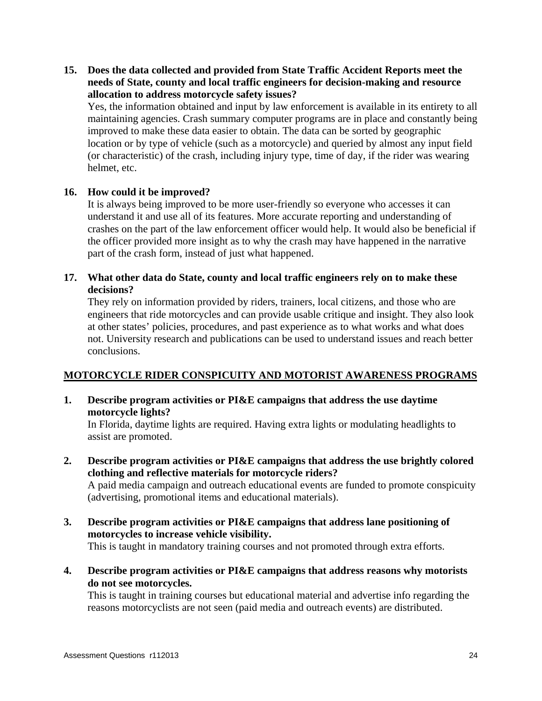## **15. Does the data collected and provided from State Traffic Accident Reports meet the needs of State, county and local traffic engineers for decision-making and resource allocation to address motorcycle safety issues?**

 Yes, the information obtained and input by law enforcement is available in its entirety to all maintaining agencies. Crash summary computer programs are in place and constantly being improved to make these data easier to obtain. The data can be sorted by geographic location or by type of vehicle (such as a motorcycle) and queried by almost any input field (or characteristic) of the crash, including injury type, time of day, if the rider was wearing helmet, etc.

## **16. How could it be improved?**

 It is always being improved to be more user-friendly so everyone who accesses it can understand it and use all of its features. More accurate reporting and understanding of crashes on the part of the law enforcement officer would help. It would also be beneficial if the officer provided more insight as to why the crash may have happened in the narrative part of the crash form, instead of just what happened.

## **17. What other data do State, county and local traffic engineers rely on to make these decisions?**

 They rely on information provided by riders, trainers, local citizens, and those who are engineers that ride motorcycles and can provide usable critique and insight. They also look at other states' policies, procedures, and past experience as to what works and what does not. University research and publications can be used to understand issues and reach better conclusions.

## **MOTORCYCLE RIDER CONSPICUITY AND MOTORIST AWARENESS PROGRAMS**

**1. Describe program activities or PI&E campaigns that address the use daytime motorcycle lights?** 

 In Florida, daytime lights are required. Having extra lights or modulating headlights to assist are promoted.

**2. Describe program activities or PI&E campaigns that address the use brightly colored clothing and reflective materials for motorcycle riders?** 

 A paid media campaign and outreach educational events are funded to promote conspicuity (advertising, promotional items and educational materials).

**3. Describe program activities or PI&E campaigns that address lane positioning of motorcycles to increase vehicle visibility.** 

This is taught in mandatory training courses and not promoted through extra efforts.

**4. Describe program activities or PI&E campaigns that address reasons why motorists do not see motorcycles.** 

 This is taught in training courses but educational material and advertise info regarding the reasons motorcyclists are not seen (paid media and outreach events) are distributed.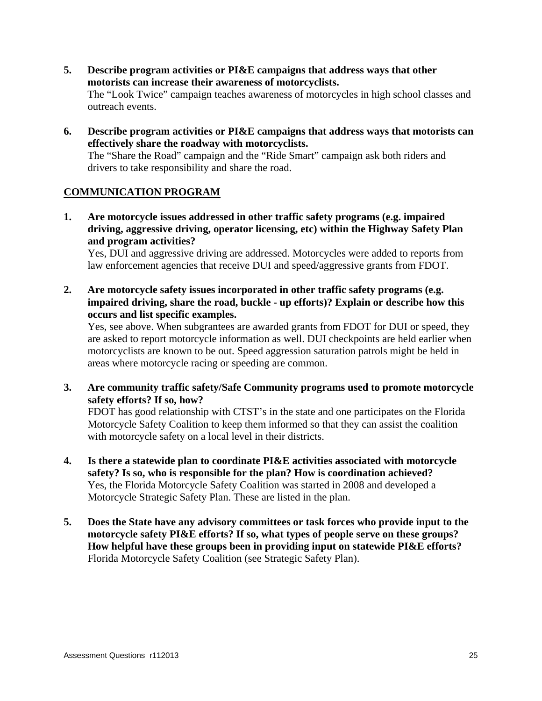- **5. Describe program activities or PI&E campaigns that address ways that other motorists can increase their awareness of motorcyclists.**  The "Look Twice" campaign teaches awareness of motorcycles in high school classes and outreach events.
- **6. Describe program activities or PI&E campaigns that address ways that motorists can effectively share the roadway with motorcyclists.**  The "Share the Road" campaign and the "Ride Smart" campaign ask both riders and drivers to take responsibility and share the road.

## **COMMUNICATION PROGRAM**

**1. Are motorcycle issues addressed in other traffic safety programs (e.g. impaired driving, aggressive driving, operator licensing, etc) within the Highway Safety Plan and program activities?** 

 Yes, DUI and aggressive driving are addressed. Motorcycles were added to reports from law enforcement agencies that receive DUI and speed/aggressive grants from FDOT.

**2. Are motorcycle safety issues incorporated in other traffic safety programs (e.g. impaired driving, share the road, buckle - up efforts)? Explain or describe how this occurs and list specific examples.** 

 Yes, see above. When subgrantees are awarded grants from FDOT for DUI or speed, they are asked to report motorcycle information as well. DUI checkpoints are held earlier when motorcyclists are known to be out. Speed aggression saturation patrols might be held in areas where motorcycle racing or speeding are common.

**3. Are community traffic safety/Safe Community programs used to promote motorcycle safety efforts? If so, how?** 

 FDOT has good relationship with CTST's in the state and one participates on the Florida Motorcycle Safety Coalition to keep them informed so that they can assist the coalition with motorcycle safety on a local level in their districts.

- **4. Is there a statewide plan to coordinate PI&E activities associated with motorcycle safety? Is so, who is responsible for the plan? How is coordination achieved?**  Yes, the Florida Motorcycle Safety Coalition was started in 2008 and developed a Motorcycle Strategic Safety Plan. These are listed in the plan.
- **5. Does the State have any advisory committees or task forces who provide input to the motorcycle safety PI&E efforts? If so, what types of people serve on these groups? How helpful have these groups been in providing input on statewide PI&E efforts?**  Florida Motorcycle Safety Coalition (see Strategic Safety Plan).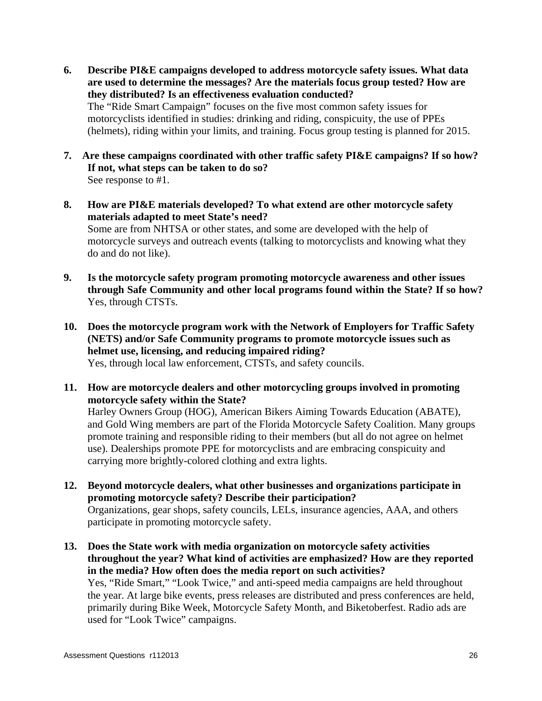- **6. Describe PI&E campaigns developed to address motorcycle safety issues. What data are used to determine the messages? Are the materials focus group tested? How are they distributed? Is an effectiveness evaluation conducted?**  The "Ride Smart Campaign" focuses on the five most common safety issues for motorcyclists identified in studies: drinking and riding, conspicuity, the use of PPEs (helmets), riding within your limits, and training. Focus group testing is planned for 2015.
- **7. Are these campaigns coordinated with other traffic safety PI&E campaigns? If so how? If not, what steps can be taken to do so?**  See response to #1.
- **8. How are PI&E materials developed? To what extend are other motorcycle safety materials adapted to meet State's need?**  Some are from NHTSA or other states, and some are developed with the help of motorcycle surveys and outreach events (talking to motorcyclists and knowing what they do and do not like).
- **9. Is the motorcycle safety program promoting motorcycle awareness and other issues through Safe Community and other local programs found within the State? If so how?**  Yes, through CTSTs.
- **10. Does the motorcycle program work with the Network of Employers for Traffic Safety (NETS) and/or Safe Community programs to promote motorcycle issues such as helmet use, licensing, and reducing impaired riding?**  Yes, through local law enforcement, CTSTs, and safety councils.
- **11. How are motorcycle dealers and other motorcycling groups involved in promoting motorcycle safety within the State?**

 Harley Owners Group (HOG), American Bikers Aiming Towards Education (ABATE), and Gold Wing members are part of the Florida Motorcycle Safety Coalition. Many groups promote training and responsible riding to their members (but all do not agree on helmet use). Dealerships promote PPE for motorcyclists and are embracing conspicuity and carrying more brightly-colored clothing and extra lights.

- **12. Beyond motorcycle dealers, what other businesses and organizations participate in promoting motorcycle safety? Describe their participation?**  Organizations, gear shops, safety councils, LELs, insurance agencies, AAA, and others participate in promoting motorcycle safety.
- **13. Does the State work with media organization on motorcycle safety activities throughout the year? What kind of activities are emphasized? How are they reported in the media? How often does the media report on such activities?**  Yes, "Ride Smart," "Look Twice," and anti-speed media campaigns are held throughout the year. At large bike events, press releases are distributed and press conferences are held, primarily during Bike Week, Motorcycle Safety Month, and Biketoberfest. Radio ads are used for "Look Twice" campaigns.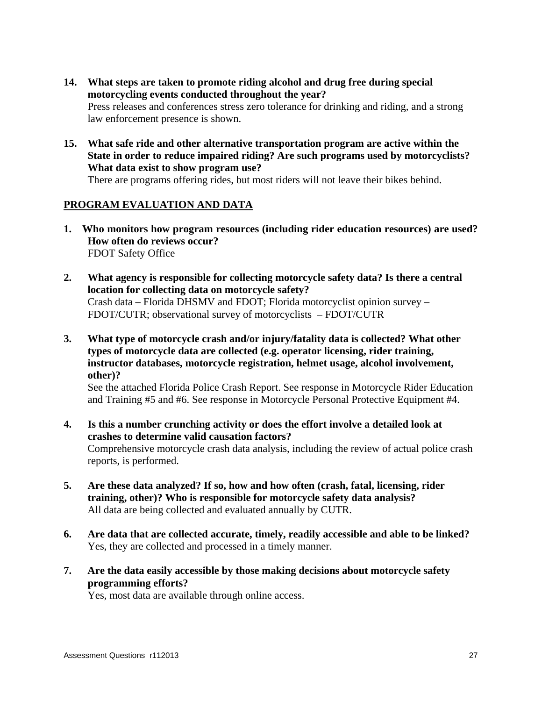- **14. What steps are taken to promote riding alcohol and drug free during special motorcycling events conducted throughout the year?**  Press releases and conferences stress zero tolerance for drinking and riding, and a strong law enforcement presence is shown.
- **15. What safe ride and other alternative transportation program are active within the State in order to reduce impaired riding? Are such programs used by motorcyclists? What data exist to show program use?**

There are programs offering rides, but most riders will not leave their bikes behind.

## **PROGRAM EVALUATION AND DATA**

- **1. Who monitors how program resources (including rider education resources) are used? How often do reviews occur?**  FDOT Safety Office
- **2. What agency is responsible for collecting motorcycle safety data? Is there a central location for collecting data on motorcycle safety?**  Crash data – Florida DHSMV and FDOT; Florida motorcyclist opinion survey – FDOT/CUTR; observational survey of motorcyclists – FDOT/CUTR
- **3. What type of motorcycle crash and/or injury/fatality data is collected? What other types of motorcycle data are collected (e.g. operator licensing, rider training, instructor databases, motorcycle registration, helmet usage, alcohol involvement, other)?**

 See the attached Florida Police Crash Report. See response in Motorcycle Rider Education and Training #5 and #6. See response in Motorcycle Personal Protective Equipment #4.

- **4. Is this a number crunching activity or does the effort involve a detailed look at crashes to determine valid causation factors?**  Comprehensive motorcycle crash data analysis, including the review of actual police crash reports, is performed.
- **5. Are these data analyzed? If so, how and how often (crash, fatal, licensing, rider training, other)? Who is responsible for motorcycle safety data analysis?**  All data are being collected and evaluated annually by CUTR.
- **6. Are data that are collected accurate, timely, readily accessible and able to be linked?**  Yes, they are collected and processed in a timely manner.
- **7. Are the data easily accessible by those making decisions about motorcycle safety programming efforts?**

Yes, most data are available through online access.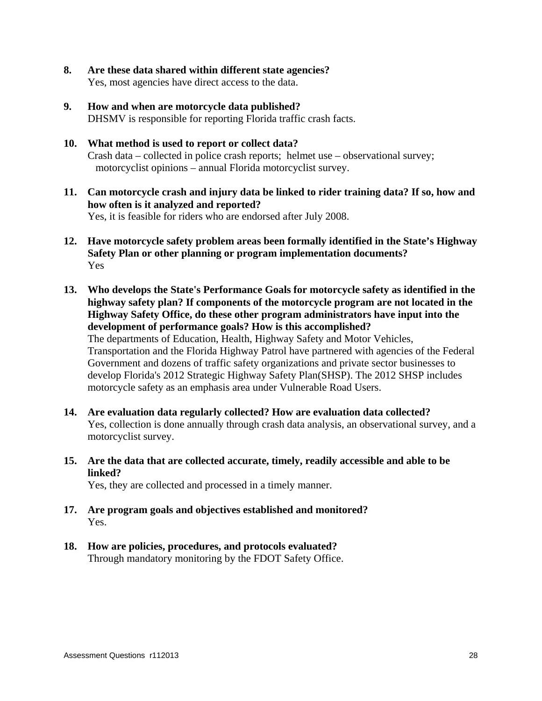- **8. Are these data shared within different state agencies?**  Yes, most agencies have direct access to the data.
- **9. How and when are motorcycle data published?**  DHSMV is responsible for reporting Florida traffic crash facts.
- **10. What method is used to report or collect data?**  Crash data – collected in police crash reports; helmet use – observational survey; motorcyclist opinions – annual Florida motorcyclist survey.
- **11. Can motorcycle crash and injury data be linked to rider training data? If so, how and how often is it analyzed and reported?**  Yes, it is feasible for riders who are endorsed after July 2008.
- **12. Have motorcycle safety problem areas been formally identified in the State's Highway Safety Plan or other planning or program implementation documents?**  Yes
- **13. Who develops the State's Performance Goals for motorcycle safety as identified in the highway safety plan? If components of the motorcycle program are not located in the Highway Safety Office, do these other program administrators have input into the development of performance goals? How is this accomplished?**  The departments of Education, Health, Highway Safety and Motor Vehicles, Transportation and the Florida Highway Patrol have partnered with agencies of the Federal Government and dozens of traffic safety organizations and private sector businesses to develop Florida's 2012 Strategic Highway Safety Plan(SHSP). The 2012 SHSP includes motorcycle safety as an emphasis area under Vulnerable Road Users.
- **14. Are evaluation data regularly collected? How are evaluation data collected?**  Yes, collection is done annually through crash data analysis, an observational survey, and a motorcyclist survey.
- **15. Are the data that are collected accurate, timely, readily accessible and able to be linked?**

Yes, they are collected and processed in a timely manner.

- **17. Are program goals and objectives established and monitored?**  Yes.
- **18. How are policies, procedures, and protocols evaluated?**  Through mandatory monitoring by the FDOT Safety Office.